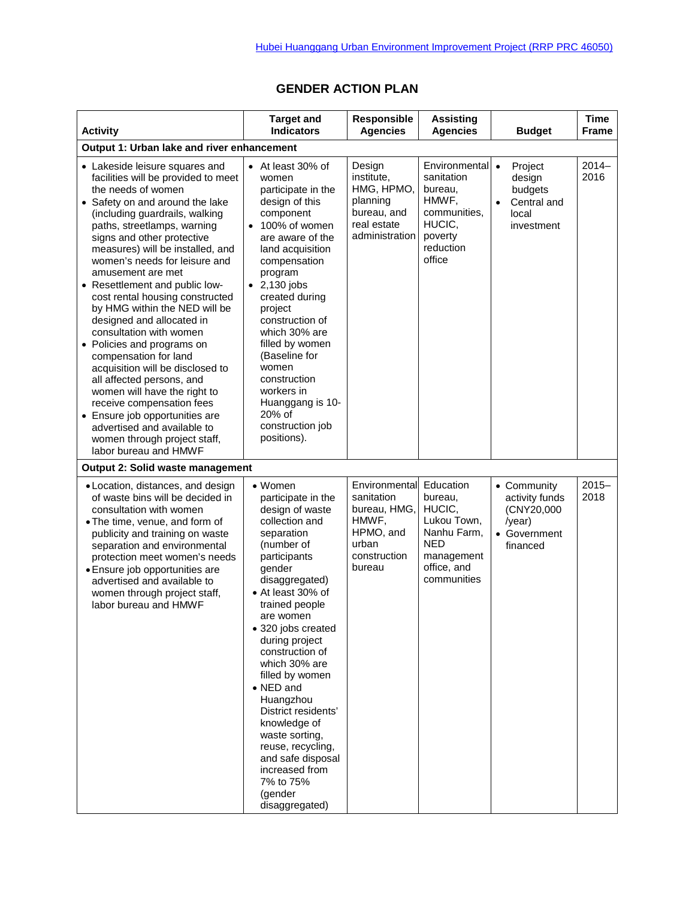| <b>Activity</b>                                                                                                                                                                                                                                                                                                                                                                                                                                                                                                                                                                                                                                                                                                                                                                                      | <b>Target and</b><br><b>Indicators</b>                                                                                                                                                                                                                                                                                                                                                                                                                                                 | Responsible<br><b>Agencies</b>                                                                       | <b>Assisting</b><br><b>Agencies</b>                                                                                    | <b>Budget</b>                                                                                | <b>Time</b><br><b>Frame</b> |  |  |  |  |
|------------------------------------------------------------------------------------------------------------------------------------------------------------------------------------------------------------------------------------------------------------------------------------------------------------------------------------------------------------------------------------------------------------------------------------------------------------------------------------------------------------------------------------------------------------------------------------------------------------------------------------------------------------------------------------------------------------------------------------------------------------------------------------------------------|----------------------------------------------------------------------------------------------------------------------------------------------------------------------------------------------------------------------------------------------------------------------------------------------------------------------------------------------------------------------------------------------------------------------------------------------------------------------------------------|------------------------------------------------------------------------------------------------------|------------------------------------------------------------------------------------------------------------------------|----------------------------------------------------------------------------------------------|-----------------------------|--|--|--|--|
| Output 1: Urban lake and river enhancement                                                                                                                                                                                                                                                                                                                                                                                                                                                                                                                                                                                                                                                                                                                                                           |                                                                                                                                                                                                                                                                                                                                                                                                                                                                                        |                                                                                                      |                                                                                                                        |                                                                                              |                             |  |  |  |  |
| • Lakeside leisure squares and<br>facilities will be provided to meet<br>the needs of women<br>• Safety on and around the lake<br>(including guardrails, walking<br>paths, streetlamps, warning<br>signs and other protective<br>measures) will be installed, and<br>women's needs for leisure and<br>amusement are met<br>• Resettlement and public low-<br>cost rental housing constructed<br>by HMG within the NED will be<br>designed and allocated in<br>consultation with women<br>• Policies and programs on<br>compensation for land<br>acquisition will be disclosed to<br>all affected persons, and<br>women will have the right to<br>receive compensation fees<br>• Ensure job opportunities are<br>advertised and available to<br>women through project staff,<br>labor bureau and HMWF | • At least 30% of<br>women<br>participate in the<br>design of this<br>component<br>• 100% of women<br>are aware of the<br>land acquisition<br>compensation<br>program<br>$\bullet$ 2,130 jobs<br>created during<br>project<br>construction of<br>which 30% are<br>filled by women<br>(Baseline for<br>women<br>construction<br>workers in<br>Huanggang is 10-<br>20% of<br>construction job<br>positions).                                                                             | Design<br>institute,<br>HMG, HPMO,<br>planning<br>bureau, and<br>real estate<br>administration       | Environmental<br>sanitation<br>bureau,<br>HMWF,<br>communities,<br>HUCIC,<br>poverty<br>reduction<br>office            | $\bullet$<br>Project<br>design<br>budgets<br>Central and<br>$\bullet$<br>local<br>investment | $2014 -$<br>2016            |  |  |  |  |
| Output 2: Solid waste management                                                                                                                                                                                                                                                                                                                                                                                                                                                                                                                                                                                                                                                                                                                                                                     |                                                                                                                                                                                                                                                                                                                                                                                                                                                                                        |                                                                                                      |                                                                                                                        |                                                                                              |                             |  |  |  |  |
| • Location, distances, and design<br>of waste bins will be decided in<br>consultation with women<br>• The time, venue, and form of<br>publicity and training on waste<br>separation and environmental<br>protection meet women's needs<br>• Ensure job opportunities are<br>advertised and available to<br>women through project staff,<br>labor bureau and HMWF                                                                                                                                                                                                                                                                                                                                                                                                                                     | • Women<br>participate in the<br>design of waste<br>collection and<br>separation<br>(number of<br>participants<br>gender<br>disaggregated)<br>• At least 30% of<br>trained people<br>are women<br>• 320 jobs created<br>during project<br>construction of<br>which 30% are<br>filled by women<br>• NED and<br>Huangzhou<br>District residents'<br>knowledge of<br>waste sorting,<br>reuse, recycling,<br>and safe disposal<br>increased from<br>7% to 75%<br>(gender<br>disaggregated) | Environmental<br>sanitation<br>bureau, HMG,<br>HMWF.<br>HPMO, and<br>urban<br>construction<br>bureau | Education<br>bureau,<br>HUCIC,<br>Lukou Town,<br>Nanhu Farm,<br><b>NED</b><br>management<br>office, and<br>communities | • Community<br>activity funds<br>(CNY20,000<br>/year)<br>• Government<br>financed            | $2015 -$<br>2018            |  |  |  |  |

## **GENDER ACTION PLAN**